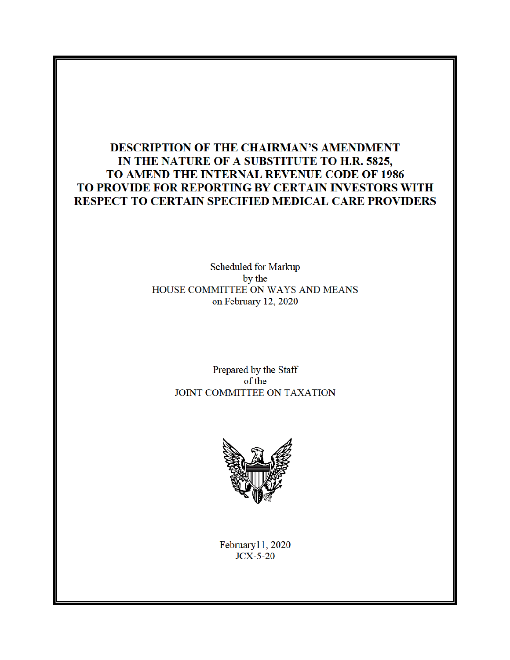# **DESCRIPTION OF THE CHAIRMAN'S AMENDMENT** IN THE NATURE OF A SUBSTITUTE TO H.R. 5825, TO AMEND THE INTERNAL REVENUE CODE OF 1986 TO PROVIDE FOR REPORTING BY CERTAIN INVESTORS WITH RESPECT TO CERTAIN SPECIFIED MEDICAL CARE PROVIDERS

Scheduled for Markup by the HOUSE COMMITTEE ON WAYS AND MEANS on February 12, 2020

> Prepared by the Staff of the JOINT COMMITTEE ON TAXATION



February11, 2020  $JCX-5-20$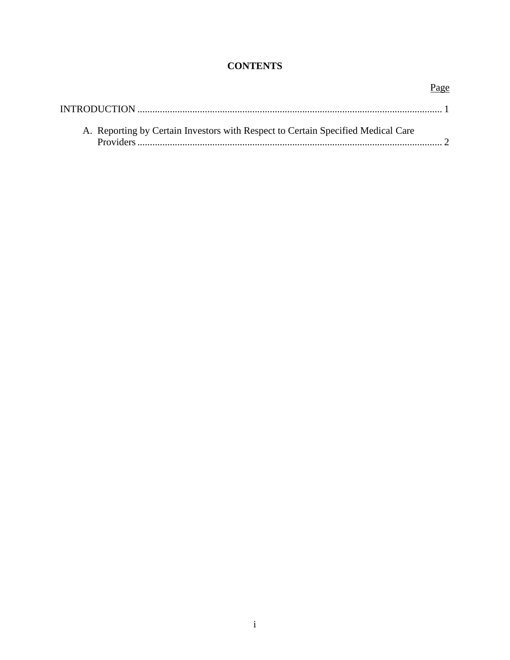# **CONTENTS**

| Page                                                                             |  |
|----------------------------------------------------------------------------------|--|
|                                                                                  |  |
| A. Reporting by Certain Investors with Respect to Certain Specified Medical Care |  |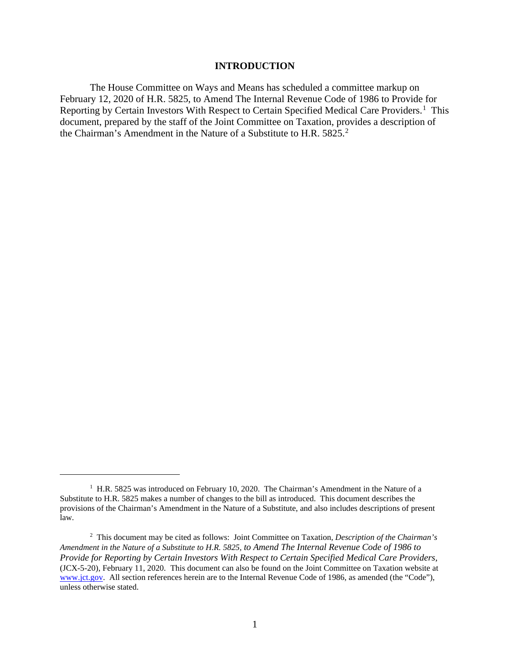#### **INTRODUCTION**

The House Committee on Ways and Means has scheduled a committee markup on February 12, 2020 of H.R. 5825, to Amend The Internal Revenue Code of 1986 to Provide for Reporting by Certain Investors With Respect to Certain Specified Medical Care Providers.<sup>1</sup> This document, prepared by the staff of the Joint Committee on Taxation, provides a description of the Chairman's Amendment in the Nature of a Substitute to H.R. 5825.<sup>2</sup>

<sup>&</sup>lt;sup>1</sup> H.R. 5825 was introduced on February 10, 2020. The Chairman's Amendment in the Nature of a Substitute to H.R. 5825 makes a number of changes to the bill as introduced. This document describes the provisions of the Chairman's Amendment in the Nature of a Substitute, and also includes descriptions of present law.

<sup>2</sup> This document may be cited as follows: Joint Committee on Taxation*, Description of the Chairman's Amendment in the Nature of a Substitute to H.R. 5825, to Amend The Internal Revenue Code of 1986 to Provide for Reporting by Certain Investors With Respect to Certain Specified Medical Care Providers,* (JCX-5-20), February 11, 2020. This document can also be found on the Joint Committee on Taxation website at www.jct.gov. All section references herein are to the Internal Revenue Code of 1986, as amended (the "Code"), unless otherwise stated.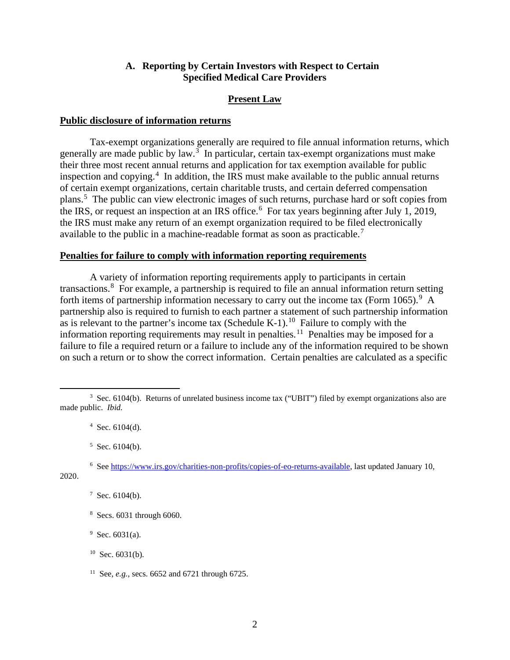#### **A. Reporting by Certain Investors with Respect to Certain Specified Medical Care Providers**

#### **Present Law**

#### **Public disclosure of information returns**

Tax-exempt organizations generally are required to file annual information returns, which generally are made public by law. $3$  In particular, certain tax-exempt organizations must make their three most recent annual returns and application for tax exemption available for public inspection and copying.<sup>4</sup> In addition, the IRS must make available to the public annual returns of certain exempt organizations, certain charitable trusts, and certain deferred compensation plans.<sup>5</sup> The public can view electronic images of such returns, purchase hard or soft copies from the IRS, or request an inspection at an IRS office.<sup>6</sup> For tax years beginning after July 1, 2019, the IRS must make any return of an exempt organization required to be filed electronically available to the public in a machine-readable format as soon as practicable.<sup>7</sup>

#### **Penalties for failure to comply with information reporting requirements**

A variety of information reporting requirements apply to participants in certain transactions.<sup>8</sup> For example, a partnership is required to file an annual information return setting forth items of partnership information necessary to carry out the income tax (Form 1065).<sup>9</sup> A partnership also is required to furnish to each partner a statement of such partnership information as is relevant to the partner's income tax (Schedule K-1).<sup>10</sup> Failure to comply with the information reporting requirements may result in penalties.<sup>11</sup> Penalties may be imposed for a failure to file a required return or a failure to include any of the information required to be shown on such a return or to show the correct information. Certain penalties are calculated as a specific

<sup>3</sup> Sec. 6104(b). Returns of unrelated business income tax ("UBIT") filed by exempt organizations also are made public. *Ibid.*

 $4$  Sec. 6104(d).

 $5$  Sec. 6104(b).

<sup>&</sup>lt;sup>6</sup> See https://www.irs.gov/charities-non-profits/copies-of-eo-returns-available, last updated January 10, 2020.

 $7$  Sec. 6104(b).

<sup>&</sup>lt;sup>8</sup> Secs. 6031 through 6060.

 $9$  Sec. 6031(a).

 $10$  Sec. 6031(b).

<sup>11</sup> See, *e.g.*, secs. 6652 and 6721 through 6725.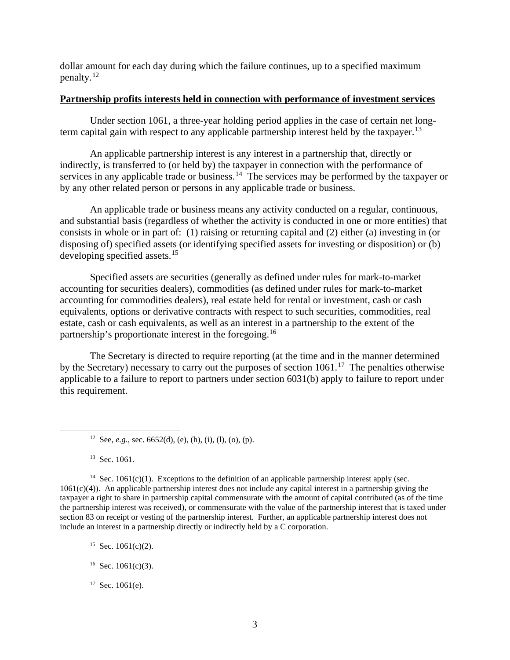dollar amount for each day during which the failure continues, up to a specified maximum penalty.<sup>12</sup>

#### **Partnership profits interests held in connection with performance of investment services**

Under section 1061, a three-year holding period applies in the case of certain net longterm capital gain with respect to any applicable partnership interest held by the taxpayer.<sup>13</sup>

An applicable partnership interest is any interest in a partnership that, directly or indirectly, is transferred to (or held by) the taxpayer in connection with the performance of services in any applicable trade or business.<sup>14</sup> The services may be performed by the taxpayer or by any other related person or persons in any applicable trade or business.

An applicable trade or business means any activity conducted on a regular, continuous, and substantial basis (regardless of whether the activity is conducted in one or more entities) that consists in whole or in part of: (1) raising or returning capital and (2) either (a) investing in (or disposing of) specified assets (or identifying specified assets for investing or disposition) or (b) developing specified assets.<sup>15</sup>

Specified assets are securities (generally as defined under rules for mark-to-market accounting for securities dealers), commodities (as defined under rules for mark-to-market accounting for commodities dealers), real estate held for rental or investment, cash or cash equivalents, options or derivative contracts with respect to such securities, commodities, real estate, cash or cash equivalents, as well as an interest in a partnership to the extent of the partnership's proportionate interest in the foregoing.16

The Secretary is directed to require reporting (at the time and in the manner determined by the Secretary) necessary to carry out the purposes of section  $1061$ .<sup>17</sup> The penalties otherwise applicable to a failure to report to partners under section 6031(b) apply to failure to report under this requirement.

<sup>13</sup> Sec. 1061.

<sup>14</sup> Sec. 1061(c)(1). Exceptions to the definition of an applicable partnership interest apply (sec.  $1061(c)(4)$ ). An applicable partnership interest does not include any capital interest in a partnership giving the taxpayer a right to share in partnership capital commensurate with the amount of capital contributed (as of the time the partnership interest was received), or commensurate with the value of the partnership interest that is taxed under section 83 on receipt or vesting of the partnership interest. Further, an applicable partnership interest does not include an interest in a partnership directly or indirectly held by a C corporation.

- <sup>15</sup> Sec.  $1061(c)(2)$ .
- $16$  Sec. 1061(c)(3).
- $17$  Sec. 1061(e).

<sup>&</sup>lt;sup>12</sup> See, *e.g.*, sec. 6652(d), (e), (h), (i), (l), (o), (p).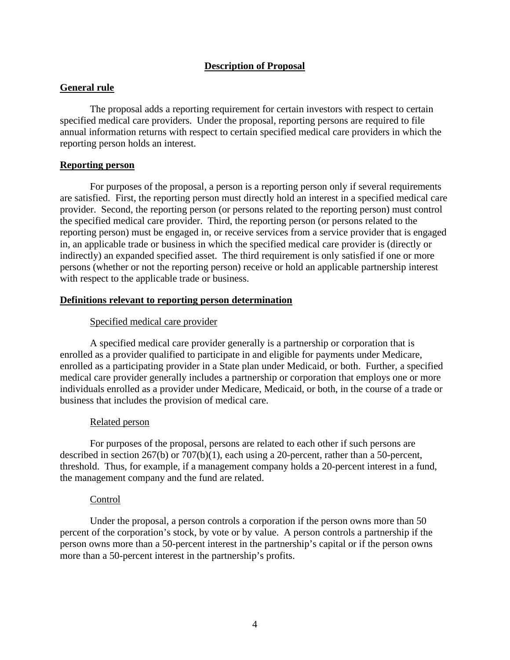# **Description of Proposal**

## **General rule**

The proposal adds a reporting requirement for certain investors with respect to certain specified medical care providers. Under the proposal, reporting persons are required to file annual information returns with respect to certain specified medical care providers in which the reporting person holds an interest.

## **Reporting person**

For purposes of the proposal, a person is a reporting person only if several requirements are satisfied. First, the reporting person must directly hold an interest in a specified medical care provider. Second, the reporting person (or persons related to the reporting person) must control the specified medical care provider. Third, the reporting person (or persons related to the reporting person) must be engaged in, or receive services from a service provider that is engaged in, an applicable trade or business in which the specified medical care provider is (directly or indirectly) an expanded specified asset. The third requirement is only satisfied if one or more persons (whether or not the reporting person) receive or hold an applicable partnership interest with respect to the applicable trade or business.

# **Definitions relevant to reporting person determination**

# Specified medical care provider

A specified medical care provider generally is a partnership or corporation that is enrolled as a provider qualified to participate in and eligible for payments under Medicare, enrolled as a participating provider in a State plan under Medicaid, or both. Further, a specified medical care provider generally includes a partnership or corporation that employs one or more individuals enrolled as a provider under Medicare, Medicaid, or both, in the course of a trade or business that includes the provision of medical care.

## Related person

For purposes of the proposal, persons are related to each other if such persons are described in section 267(b) or 707(b)(1), each using a 20-percent, rather than a 50-percent, threshold. Thus, for example, if a management company holds a 20-percent interest in a fund, the management company and the fund are related.

## Control

Under the proposal, a person controls a corporation if the person owns more than 50 percent of the corporation's stock, by vote or by value. A person controls a partnership if the person owns more than a 50-percent interest in the partnership's capital or if the person owns more than a 50-percent interest in the partnership's profits.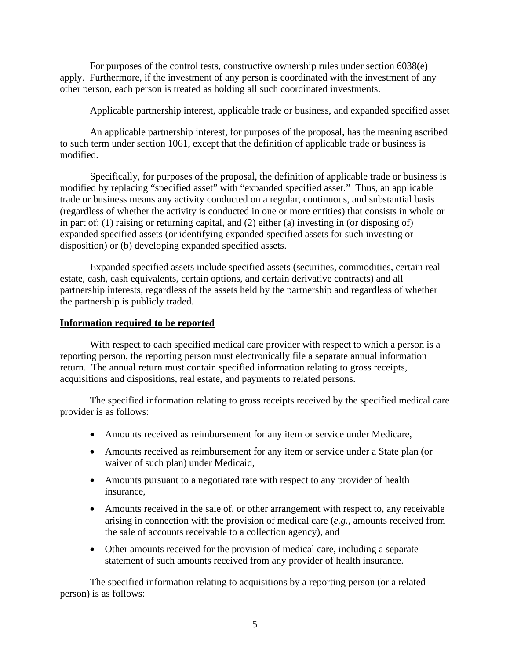For purposes of the control tests, constructive ownership rules under section 6038(e) apply. Furthermore, if the investment of any person is coordinated with the investment of any other person, each person is treated as holding all such coordinated investments.

## Applicable partnership interest, applicable trade or business, and expanded specified asset

An applicable partnership interest, for purposes of the proposal, has the meaning ascribed to such term under section 1061, except that the definition of applicable trade or business is modified.

Specifically, for purposes of the proposal, the definition of applicable trade or business is modified by replacing "specified asset" with "expanded specified asset." Thus, an applicable trade or business means any activity conducted on a regular, continuous, and substantial basis (regardless of whether the activity is conducted in one or more entities) that consists in whole or in part of: (1) raising or returning capital, and (2) either (a) investing in (or disposing of) expanded specified assets (or identifying expanded specified assets for such investing or disposition) or (b) developing expanded specified assets.

Expanded specified assets include specified assets (securities, commodities, certain real estate, cash, cash equivalents, certain options, and certain derivative contracts) and all partnership interests, regardless of the assets held by the partnership and regardless of whether the partnership is publicly traded.

## **Information required to be reported**

With respect to each specified medical care provider with respect to which a person is a reporting person, the reporting person must electronically file a separate annual information return. The annual return must contain specified information relating to gross receipts, acquisitions and dispositions, real estate, and payments to related persons.

The specified information relating to gross receipts received by the specified medical care provider is as follows:

- Amounts received as reimbursement for any item or service under Medicare,
- Amounts received as reimbursement for any item or service under a State plan (or waiver of such plan) under Medicaid,
- Amounts pursuant to a negotiated rate with respect to any provider of health insurance,
- Amounts received in the sale of, or other arrangement with respect to, any receivable arising in connection with the provision of medical care (*e.g.,* amounts received from the sale of accounts receivable to a collection agency), and
- Other amounts received for the provision of medical care, including a separate statement of such amounts received from any provider of health insurance.

The specified information relating to acquisitions by a reporting person (or a related person) is as follows: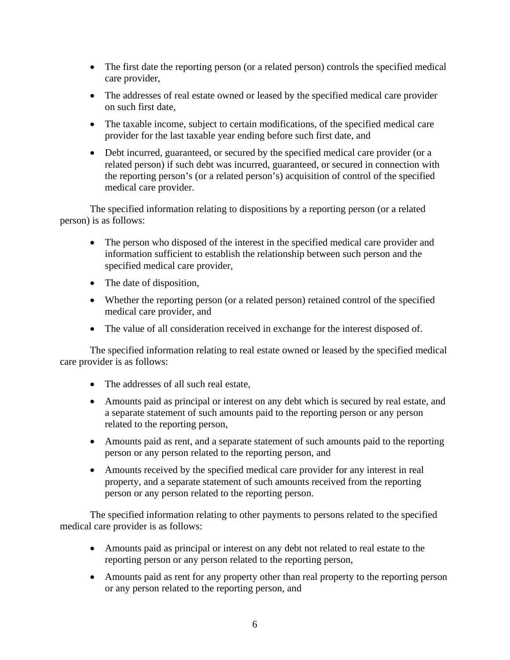- The first date the reporting person (or a related person) controls the specified medical care provider,
- The addresses of real estate owned or leased by the specified medical care provider on such first date,
- The taxable income, subject to certain modifications, of the specified medical care provider for the last taxable year ending before such first date, and
- Debt incurred, guaranteed, or secured by the specified medical care provider (or a related person) if such debt was incurred, guaranteed, or secured in connection with the reporting person's (or a related person's) acquisition of control of the specified medical care provider.

The specified information relating to dispositions by a reporting person (or a related person) is as follows:

- The person who disposed of the interest in the specified medical care provider and information sufficient to establish the relationship between such person and the specified medical care provider,
- The date of disposition,
- Whether the reporting person (or a related person) retained control of the specified medical care provider, and
- The value of all consideration received in exchange for the interest disposed of.

The specified information relating to real estate owned or leased by the specified medical care provider is as follows:

- The addresses of all such real estate,
- Amounts paid as principal or interest on any debt which is secured by real estate, and a separate statement of such amounts paid to the reporting person or any person related to the reporting person,
- Amounts paid as rent, and a separate statement of such amounts paid to the reporting person or any person related to the reporting person, and
- Amounts received by the specified medical care provider for any interest in real property, and a separate statement of such amounts received from the reporting person or any person related to the reporting person.

The specified information relating to other payments to persons related to the specified medical care provider is as follows:

- Amounts paid as principal or interest on any debt not related to real estate to the reporting person or any person related to the reporting person,
- Amounts paid as rent for any property other than real property to the reporting person or any person related to the reporting person, and